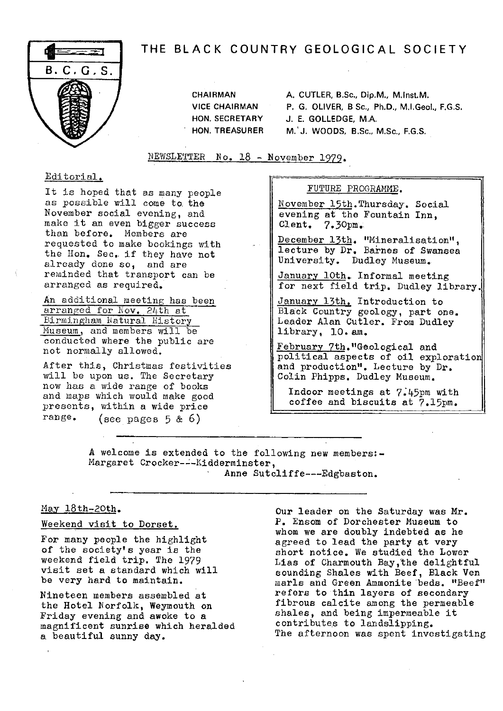# THE BLACK COUNTRY GEOLOGICAL SOCIETY



CHAIRMAN A. CUTLER, B.Sc., Dip.M., M.Inst.M. **VICE CHAIRMAN** P. **G, OLIVER, B Sc., Ph.D., M,I.Geol., F.G.S. HON. SECRETARY J. E. GOLLEDGE, M.A. HON. TREASURER M. J. WOODS, B.Sc., M.Sc., E.G.S.**

NEWSLETTER No. 18 - November 1979.

## Editorial.

It is hoped that as many people as possible will come to. the November social evening, and make it an even bigger success than before. Members are requested to make bookings with the Hon. Sec.. if they have not already done so, and are reminded that transport can be arranged as required.

An additional meeting has been arranged for Nov. 24th at Birmingham Natural History Museum, and members will be conducted where the public are not normally allowed.

After this, Christmas festivities will be upon us. The Secretary now has a wide range of books and maps which would make good presents, within a wide price range. (see pages 5 & 6)

## FUTURE PROGRAMME.

November l5th . Thursday. Social evening at the Fountain Inn, Cleat. 7.30pm,.

December 13th. "Mineralisation", lecture by Dr. Barnes of Swansea University. Dudley Museum.

January 10th. Informal meeting for next field trip. Dudley library.

January 13th, Introduction to Black Country geology, part one. Leader Alan Cutler. From Dudley library, 10. am.

February 7th. "Geological and political aspects of oil exploratio and production". Lecture by Dr. *Colin Phipps.* Dudley Museum.

Indoor meetings at 7.45pm with coffee and biscuits at 7.15pm.

**A** welcome is extended to the following new members:- Margaret Crocker---Kidderminster,

## Anne Sutcliffe---Edgbaston.

## May  $18th-20th$ .

## Weekend visit to Dorset.

For many people the highlight of the society's year is the weekend field trip. The 1979 visit set a standard which will be very hard to maintain.

Nineteen members assembled at the Hotel Norfolk, Weymouth on Friday evening and awoke to a magnificent sunrise which heralded a beautiful sunny day.

Our leader on the Saturday was Mr. P. Ensom of Dorchester Museum to whom we are doubly indebted as he agreed to lead the party at very short notice. We studied the Lower Lias of Charmouth Bay,the delightful sounding Shales with Beef, Black Ven marls and Green Ammonite beds. "Beef' refers to thin layers of secondary fibrous calcite among the permeable shales, and being impermeable it contributes to landslipping. The afternoon was spent investigating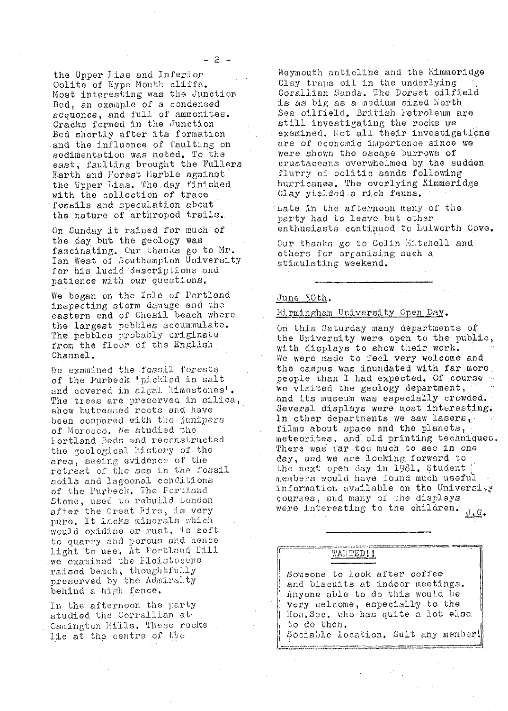the Upper Lias and Inferior Oolite of Eype Mouth cliffs. Most interesting was the Junction Bed, an example of a condensed sequence, and full of ammonites. Cracks formed in the Junction Bed shortly after its formation and the influence of faulting on sedimentation was noted. To the east, faulting brought the Fullers Earth and Forest Marble against the Upper Lias. The day finished with the collection of trace fossils and speculation about the nature of arthropod trails.

On Sunday it rained for much of the day but the geology was fascinating. Cur thanks go to Mr.<br>Ian West of Southampton University for his lucid descriptions and patience with our questions.

We began on the Isle of Portland inspecting storm damage and the eastern end of Chesil beach where the largest pebbles accummulate. The pebbles probably originate from the floor of the English Channel.

We examined the fossil forests of the Purbeck 'pickled in salt and covered in algal limestones'. The trees are preserved in silica, show butressed roots and have been compared with the junipers of Morocco. We studied the Fortland Beds and reconstructed the goological history of the area, seeing evidence of the retreat of the sea in the fossil soils and lagoonal conditions of the Purbeck. The Portland Stone, used to rebuild London after the Creat Fire, is very pure. It lacks minerals which would oxidise or rust, is soft to quarry and porous and hence light to use. At Portland Dill we examined the Fleistocche. raised beach, thoughtfully preserved by the Admiralty behind a high fence.

In the afternoon the party studied the Corrallian at Osmington Mills, These rocks lie at the centre of the

Weymouth anticline and the Kimmoridge Clay traps oil in the underlying Corallian Sands. The Dorset cilfield is as big as a medium sized North Sea oilfield, British Petroleum are still investigating the rocks we examined. Not all their investigations are of economic importance since we were shown the escape burrows of crustaceans overwhelmed by the sudden flurry of colitic sands following hurricanes. The overlying Kimmeridge Clay yielded a rich fauna.

Late in the afternoon many of the party had to leave but other enthusiasts continued to Lulworth Cove.

Our thanks go to Colin Mitchell and others for organising such a stimulating weekend.

#### June 30th.

#### Birmingham University Open Day.

On this Saturday many departments of the University were open to the public, with displays to show their work. We were made to feel very welcome and the campus was inundated with far more. people than I had expected. Of course we visited the geology department, and its museum was especially crowded. Several displays were most interesting. In other departments we saw lasers, films about space and the planets, meteorites, and old printing techniques. There was far too much to see in one day, and we are looking forward to the next open day in 1981. Student members would have found much useful information available on the University courses, and many of the displays were interesting to the children.  $J$ .  $G$ .

## WAHTED!!

Someone to look after coffee and biscuits at indoor meetings. Anyone able to do this would be very welcome, especially to the Hon. Sec. who has quite a lot else to do then. Sociable location. Suit any member!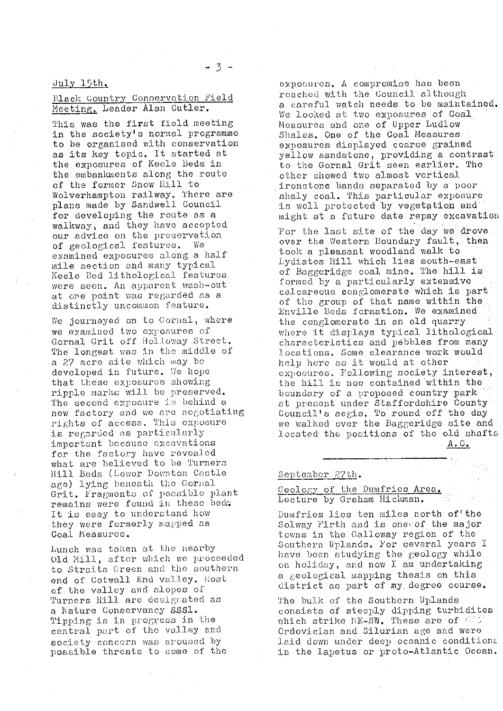# July 15th.

## Black Country Conservation Field Meeting. Leader Alan Cutler.

This was the first field meeting in the society's normal programme to be organised with conservation as its key topic. It started at the exposures of Keele beds in the embankments along the route of the former Snow Hill to Wolverhampton railway. There are plans made by Sandwell Council for developing the route as a walkway, and they have accepted our advice on the preservation<br>of geological features. We of geological features. examined exposures along a half mile section and many typical Keclo Bed lithological features were seen. An apparent wash-out at one point was regarded as a distinctly uncommon feature.

We journeyed on to Gornal, where we examined two exposures **of** Gornal Grit off Holloway Street. The longest was in the middle of a 27 acre site which may be developed in future. We hope that these exposures showing ripple marks will be preserved. The second exposure is behind a new factory and we are negotiating rights of access. This exposure is regarded as particularly important because excavations for the factory have revealed what are believed to be Turners Hill Beds (Lower Downton Castle age) lying beneath the Gornal Grit. Fragments of possible plant remains were found in these beda It is easy to understand how they were formerly mapped as Coal Measures.

Lunch was taken at the nearby Old Mill, after which we proceeded to Straits Green and the southern end of Cotwall End valley. Host of the valley and slopes of Turners Hill are designated as a Nature Conservancy SSS1. Tipping is in progress in the central part of the valley and society concern was aroused by possible threats to some of the

exposures. A compromise has boon reached with the Council although a careful watch needs to be maintained. We looked at two exposures of Coal. Measures and one of Upper Ludlow Shales. One of the Coal Measures exposures displayed coarse grained yellow sandstone, providing a contrast to the Gornal Grit seen earlier. The other showed two almost vertical. ironstone bands separated by a poor shaly coal. This particular exposure is well protected by vegetation and might at a future date repay excavation For the last site of the day we drovel over the Western Boundary fault, then took a pleasant woodland walk to Lydiates Hill which lies south-east of Baggeridge coal mine. The hill is .formed- by a particularly extensive calcareous conglomerate which is part of the group of that name within the Enville Beds formation. We examined the conglomerate in an old quarry where it displays typical lithological characteristics and pebbles from many locations. Some clearance work would . help here as it would at other exposures. Following society interest, the hill is now contained within the boundary of a proposed country park at present under Staffordshire County Council's aegis. To round off the day we walked over the Baggeridge site and located the positions of the old shafts A. C.

September 27th.

## Geology of the Dumfries Area. .Lecture by Graham Hickman.

Dumfries lies ten miles north of the Solway Firth and is ones of the major towns in the Galloway region of the Southern uplands. For several years I have been studying the geology while on holiday, and now I am undertaking a geological mapping thesis on this district as part of my, degree course.

The bulk of the Southern Uplands consists of steeply dipping turbidites which strike ME-SW. These are of Ordovician and Silurian age and were laid down under deep oceanic conditions in the Iapetus or proto-Atlantic Ocean.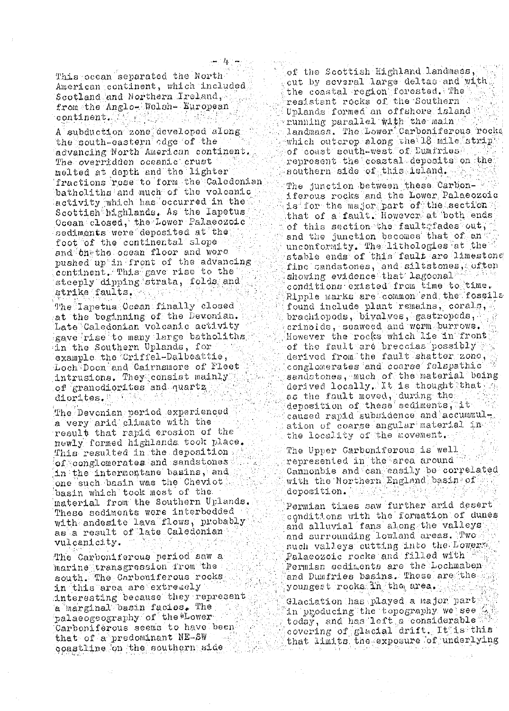This ocean separated the North American continent, which included Scotland and Northern Ireland, from the Anglo-Welsh- European continent. **11. 我** 

A subduction zone developed along the south-eastern odge of the advancing North American continent. The overridden oceanic crust melted at depth and the lighter fractions rose to form the Caledonian batholiths and much of the volcanic activity which has occurred in the Scottish highlands. As the Iapetus Ocean closed, the Lower Palaeozoic sediments were deposited at the foot of the continental slope and onethe ocean floor and were pushed up in front of the advancing continent. This gave rise to the  $\mathtt{steeply}$  dipping strata, folds and strike faults.

The Iapetus Ocean finally closed at the beginning of the Devonian. Late Caledonian volcanic activity gave rise to many large batholiths in the Southern Uplands, for example the Criffel-Dalbeattie, Loch Doon and Cairnsmore of Fleet intrusions. They consist mainly of granodiorites and quartz diorites.

The Devonian period experienced a very arid climate with the result that rapid erosion of the newly formed highlands took place. This resulted in the depositions  $\circ$ f conglomerates and sandstones in the intermontane basins, and one such basin was the Cheviot basin which took most of the material from the Southern Uplands. These sediments were interbedded with andesite lava flows, probably as a result of late Caledonian vulcanicity.

The Carboniferous period saw a marine transgression from the south. The Carboniferous rocks in this area are extremely interesting because they represent a marginal basin facies. The  $\mathtt{valaeogegraphy}$  of the  $\mathtt{``Lower''}$ Carboniferous seems to have been that of a predominant NE-SW qoastline on the southern side

of the Scottish Highland landmass, cut by several large deltas and with the coastal region forested. The resistant rocks of the Southern Uplands formed an offshore island nunning parallel with the main landmass. The Lower Carboniferous rocks which outcrop along the 18 mile strip<br>of coast south-west of Dumiries  ${\tt represent\_the\_coastal\_depositions\_the}$ southern side of this island.

The junction between these Carboniferous rocks and the Lower Palaeozoic is for the major part of the section ( that of a fault. However at both ends of this section the fault fades out, and the junction becomes that of and unconformity. The lithologies at the stable ends of this fault are limestons fine candstones, and siltstones, often showing evidence that lagoonal w conditions existed from time to time. Ripple marks are common and the fossile found include plant remains, corals, brachiopods, bivalves, gastropods, crinoids, seaweed and worm burrows. However the rocks which lie in front of the fault are breccias possibly derived from the fault shatter zone, conglomerates and coarse felspathic sandstones, much of the material being derived locally. It is thought that as the fault moved, during the deposition of these sediments, it caused rapid subsidence and accummulation of coarse angular material in the locality of the movement.

The Upper Carboniferous is well represented in the area around Cannonbie and can easily be correlated with the Northern England basin of deposition. A MANDA A GUAN

Permian times saw further arid desert conditions with the formation of dunes and alluvial fans along the valleys and surrounding lowland areas. Two such valleys cutting into the Lowers Palaeozoic rocks and filled with with Permian sediments are the Lochmaben and Dumfries basins. These are the a youngest rocks in the area.

 $\mathtt{Haciation}$  has played a major part in producing the topography we see today, and has left a considerable covering of glacial drift. It is this that limits the exposure of underlying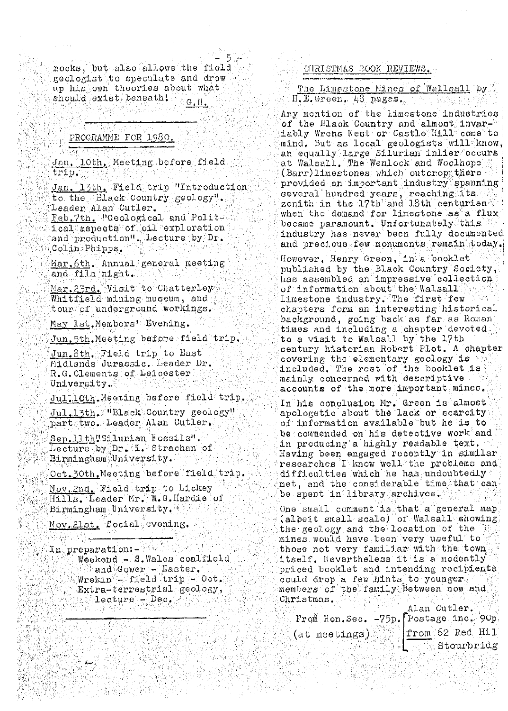nocks, but also allows the field geologist to speculate and draw. up his own theories about what should exist beneath!  $G.\Pi.$ 

## PROGRAMME FOR 1980.

Jan. 10th, Meeting before field. trip ar ak

**START SONG** 

Jan. 13th, Field trip "Introduction to the Elack Country geology". Leader Alan Cutler. Feb. 7th. Weeological and Political aspects of cil exploration and production". Lecture by Dr. Colin Phipps.

Mar.6th. Annual general meeting and film night.

Mar. 23rd. Visit to Chatterley Whitfield mining museum, and tour of underground workings.

May lst. Members' Evening.

Jun.5th.Meeting before field trip.

Jun. 8th. Field trip to Last Midlands Jurassic. Leader Dr. R.G.Clements of Leicester University.

Jul.lOth.Meeting before field trip. Jul.13th. WBlack Country geology"

part two. Leader Alan Cutler. Sep.11th"Silurian Fossils". Lecture by Dr. L. Strachan of Birmingham University.

Oct.30th.Meeting before field trip.

Nov 2nd, Field trip to Lickey Hills. Leader Mr. W.G. Hardie of Birmingham University.

Nov.2lst. Social evening.

Weekend - S.Wales coalfield || and Gower - Easter.<br>| Wrekin - field trip - Oct. Extra-terrestrial geology,  $\texttt{lecture} = \texttt{Dec}$ .

## CHRISTMAS EOOK REVIEWS.

## The Limestone Mines of Wallsall Dy  $H_\bullet E_\bullet$  Green.  $48$  pages.

Any mention of the limestone industries of the Black Country and almost invariably Wrens Nest or Castle Hill come to mind. But as local geologists will know, an equally large Silurian inlier occurs at Walsall. The Wenlock and Woolhope (Barr)limestones which outcroppthere provided an important industry spanning several hundred years, reaching lts and when the demand for limestone as a flux became paramount. Unfortunately this industry has never been fully documented and precious few monuments remain today.

However, Henry Green, in a booklet published by the Black Country Society, has assembled an impressive collection of information about the Walsall limestone industry. The first few chapters form an interesting historical background, going back as far as Roman times and including a chapter devoted to a visit to Walsall by the 17th century historian Robert Plot. A chapter covering the elementary geology is any included. The rest of the booklet is accounts of the more important mines.

In his conclusion Mr. Green is almost apologetic about the lack or scarcity of information available but he is to be commended on his detective work and in producing a highly readable text. Having been engaged recently in similar researches I know well the problems and difficulties which he has undoubtedly met, and the considerable time that can be spent in library archives.

One small comment is that a general map (albeit small scale) of Walsall showing the geology and the location of the mines would have been very useful to those not very familiar with the town itself. Nevertheless it is a modestly priced booklet and intending recipients could drop a few hints to younger. members of the family between now and Christmas.

|                                        | Alan Cutler.      |
|----------------------------------------|-------------------|
| From Hon. Sec. -75p. Postage inc. 90p. |                   |
| (at meetings) rom 62 Red Hill          |                   |
|                                        | <b>Stourbridg</b> |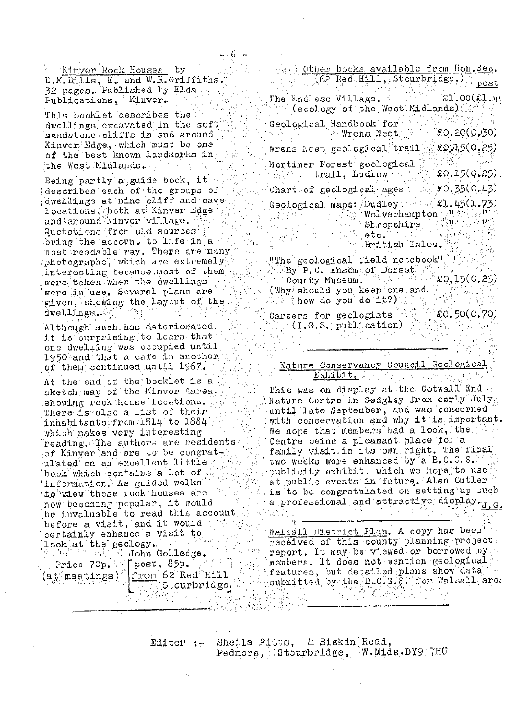Kinver Rock Houses by D.M.Bills, E. and W.R.Griffiths. 32 pages. Published by Elda.  $Publications$  Kinver.

This booklet describes the for dwellings excavated in the soft sandstone cliffs in and around Kinver Edge, which must be one of the best known landmarks in the West Midlands.

Being partly a guide book, it describes each of the groups of dwellings at nine cliff and cave locations, both at Kinver Edge and around Kinver village. Quotations from old sources bring the account to life in a most readable way. There are many photographs, which are extremely interesting because most of them. were taken when the awellings a were in use. Several plans are given, showing the layout of the dwellings.

Although much has deteriorated, it is surprising to learn that one dwelling was occupied until 1950 and that a cafe in another of them continued until 1967.

At the end of the booklet is a sketch map of the Kinver Aarea, showing rock house locations. There is also a list of their inhabitants from 1814 to 1884 which makes very interesting reading. The authors are residents of Kinver and are to be congrate ulated on an excellent little book which contains a lot of information. As guided walks to wiew these rock houses are now becoming popular, it would be invaluable to read this account before a visit, and it would certainly enhance a visit to  $\texttt{Look}[\mathtt{at},\mathtt{the}]$  geology.

John Golledge.  $\int$ post, 85p.

from 62 Red Hill

 $S$  bourbridge

Price 70p.  $(\mathtt{at}$  meetings).

Other books available from Hon. Sec.  $(62 \text{ Red Hill}, 3$ tourbridge.)  $\mathbb{R}^{\mathbb{N} \times \mathbb{N}}$  and  $\mathfrak{so}(21,4)$ The Endless Village.  $\sim$  (ecology of the West Midlands) Geological Handbook for **Wrens Nest** EO.20(0030) Wrens Nest geological trail . LOA5(0.25) Mortimer Forest geological trail, Ludlow Webs  $$0.15(0.25)$  $$0.35(0.43)$ Chart of geological ages  $£1.45(1.73)$ Geological maps: Dudley 'Wolverhampton N' ( ) ( ) ងស្រ Shropshire <sup>⊙</sup> etc. a British Isles.

"The geological field notebook" E<mark>By<sup>T</sup>P.C. Ensomeof</mark> Dorset £0,15(0,25) (Why should you keep one and "how do you"do it?).

£0.50(0.70)

Careers for geologists  $(1.0.8.$  publication)

Nature Conservancy Council Geological Bxhibit. 新闻意味的小孩 如此 磁线灯

This was on display at the Cotwall End Nature Centre in Sedgley from early July until late September, and was concerned with conservation and why it is important. We hope that members had a look, the Centre being a pleasant place for a family visit. in its own right. The final two weeks were enhanced by a B.C.G.S. publicity exhibit, which we hope to use at public events in future. Alan Cutler is to be congratulated on setting up such a professional and attractive display.<sub>J.G.</sub>

Wals<u>all District Plan</u>. A copy has been received of this county planning project report. It may be viewed or borrowed by members. It does not mention geological, features, but detailed plans show data submitted by the B.C.G.S. for Walsall area

Sheila Pitts, 4 Siskin Road,  $Edt$ itor :-Pedmore, Stourbridge, W.Mids.DY9 7HU